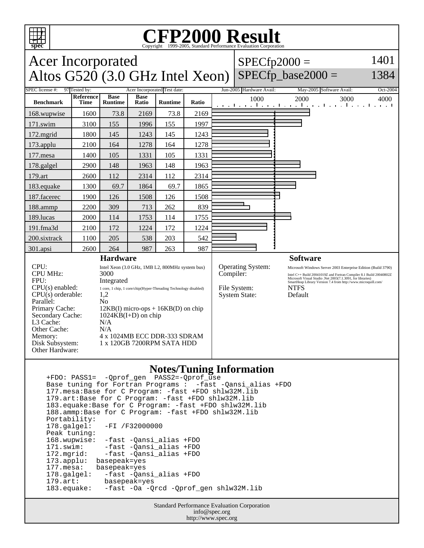

#### **CFP2000 Result** Copyright 1999-2005, Standard Performance Evaluation Corporation

#### Acer Incorporated Altos  $G520$  (3.0 GHz Intel Xeon)  $SPECfp2000 =$ SPECfp base2000  $=$ 1401 1384 SPEC license #: 97 Tested by: Acer Incorporated Test date: Jun-2005 Hardware Avail: May-2005 Software Avail: Oct-2004 **Benchmark Reference Time Base Runtime Base Runtime Ratio** 1000 2000 3000 4000 168.wupwise 1600 73.8 2169 73.8 2169 171.swim | 3100 | 155 | 1996 | 155 | 1997 172.mgrid | 1800 | 145 | 1243 | 145 | 1243 173.applu | 2100 | 164 | 1278 | 164 | 1278 177.mesa | 1400 | 105 | 1331 | 105 | 1331 178.galgel | 2900 | 148 | 1963 | 148 | 1963 179.art 2600 112 2314 112 2314 183.equake 1300 69.7 1864 69.7 1865 187.facerec | 1900 | 126 | 1508 | 126 | 1508 188.ammp | 2200 | 309 | 713 | 262 | 839 189.lucas | 2000 | 114 | 1753 | 114 | 1755 191.fma3d 2100 172 1224 172 1224 200.sixtrack 1100 205 538 203 542 301.apsi 2600 264 987 263 987 **Hardware** CPU:<br>
Intel Xeon (3.0 GHz, 1MB L2, 800MHz system bus)<br>
CPU MHz:<br>
3000 CPU MHz: FPU: Integrated  $CPU(s) enable: 1 core, 1 chip, 1 core/chip(Hyper-Threading Technology disabled)$ <br> $CPU(s) orderable: 1.2$  $CPU(s)$  orderable: Parallel: No Primary Cache: 12KB(I) micro-ops + 16KB(D) on chip Secondary Cache: 1024KB(I+D) on chip L3 Cache: N/A Other Cache: N/A Memory: 4 x 1024MB ECC DDR-333 SDRAM Disk Subsystem: 1 x 120GB 7200RPM SATA HDD Other Hardware: **Software** Operating System: Microsoft Windows Server 2003 Enterprise Edition (Build 3790)<br>
Compiler:  $\frac{1}{2}$  Intel C++ Build 20041019Z and Fortran Compiler 8.1 Build 20040802Z Compiler: Intel C++ Build 20041019Z and Fortran Compiler 8.1 Build 20040802Z<br>Microsoft Visual Studio .Net 2003(7.1.3091, for libraries)<br>SmartHeap Library Version 7.4 from http://www.microquill.com/ File System: NTFS System State: Default

### **Notes/Tuning Information**

 +FDO: PASS1= -Qprof\_gen PASS2=-Qprof\_use Base tuning for Fortran Programs : -fast -Qansi\_alias +FDO 177.mesa:Base for C Program: -fast +FDO shlw32M.lib 179.art:Base for C Program: -fast +FDO shlw32M.lib 183.equake:Base for C Program: -fast +FDO shlw32M.lib 188.ammp:Base for C Program: -fast +FDO shlw32M.lib Portability:<br>178.galgel: -FI /F32000000 Peak tuning: 168.wupwise: -fast -Qansi\_alias +FDO 171.swim: -fast -Qansi\_alias +FDO 172.mgrid: -fast -Qansi\_alias +FDO 173.applu: basepeak=yes<br>177.mesa: basepeak=yes 177.mesa: basepeak=yes<br>178.galgel: -fast -Qan -fast -Qansi\_alias +FDO 179.art: basepeak=yes -fast -Oa -Qrcd -Qprof\_gen shlw32M.lib

> Standard Performance Evaluation Corporation info@spec.org http://www.spec.org